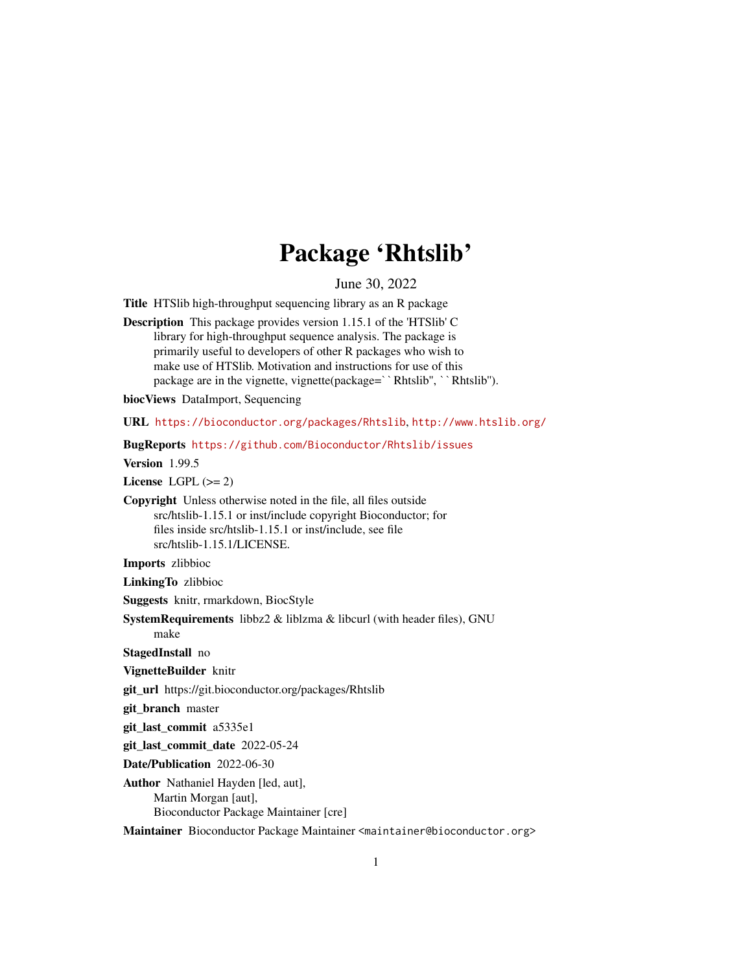## Package 'Rhtslib'

June 30, 2022

Title HTSlib high-throughput sequencing library as an R package

Description This package provides version 1.15.1 of the 'HTSlib' C library for high-throughput sequence analysis. The package is primarily useful to developers of other R packages who wish to make use of HTSlib. Motivation and instructions for use of this package are in the vignette, vignette(package=``Rhtslib'', ``Rhtslib'').

biocViews DataImport, Sequencing

URL <https://bioconductor.org/packages/Rhtslib>, <http://www.htslib.org/>

BugReports <https://github.com/Bioconductor/Rhtslib/issues>

Version 1.99.5

License LGPL  $(>= 2)$ 

Copyright Unless otherwise noted in the file, all files outside src/htslib-1.15.1 or inst/include copyright Bioconductor; for files inside src/htslib-1.15.1 or inst/include, see file src/htslib-1.15.1/LICENSE.

Imports zlibbioc

LinkingTo zlibbioc

Suggests knitr, rmarkdown, BiocStyle

SystemRequirements libbz2 & liblzma & libcurl (with header files), GNU make

StagedInstall no

VignetteBuilder knitr

git\_url https://git.bioconductor.org/packages/Rhtslib

git\_branch master

git\_last\_commit a5335e1

git last commit date 2022-05-24

Date/Publication 2022-06-30

Author Nathaniel Hayden [led, aut], Martin Morgan [aut], Bioconductor Package Maintainer [cre]

Maintainer Bioconductor Package Maintainer <maintainer@bioconductor.org>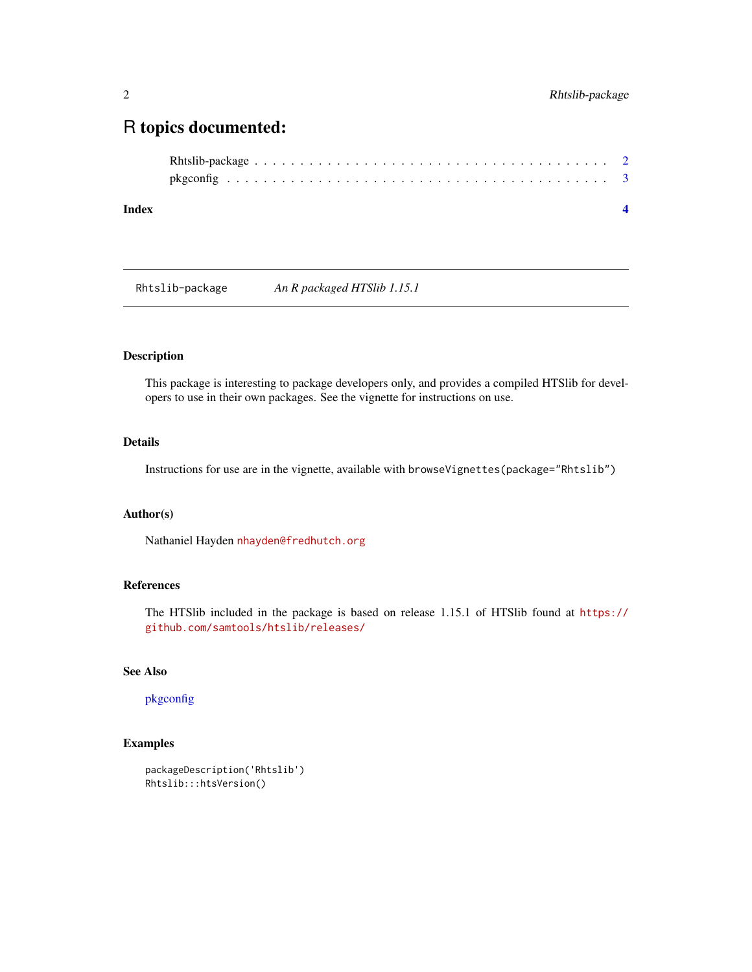### <span id="page-1-0"></span>R topics documented:

Rhtslib-package *An R packaged HTSlib 1.15.1*

#### Description

This package is interesting to package developers only, and provides a compiled HTSlib for developers to use in their own packages. See the vignette for instructions on use.

#### Details

Instructions for use are in the vignette, available with browseVignettes(package="Rhtslib")

#### Author(s)

Nathaniel Hayden <nhayden@fredhutch.org>

#### References

The HTSlib included in the package is based on release 1.15.1 of HTSlib found at [https://](https://github.com/samtools/htslib/releases/) [github.com/samtools/htslib/releases/](https://github.com/samtools/htslib/releases/)

#### See Also

#### [pkgconfig](#page-2-1)

#### Examples

```
packageDescription('Rhtslib')
Rhtslib:::htsVersion()
```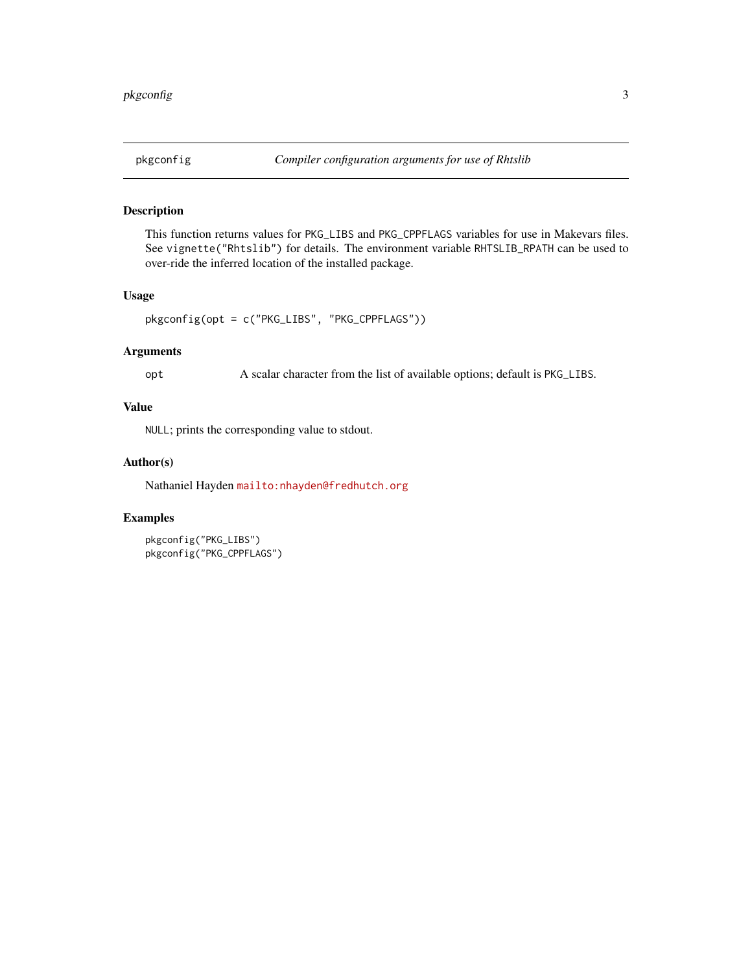#### <span id="page-2-1"></span><span id="page-2-0"></span>Description

This function returns values for PKG\_LIBS and PKG\_CPPFLAGS variables for use in Makevars files. See vignette("Rhtslib") for details. The environment variable RHTSLIB\_RPATH can be used to over-ride the inferred location of the installed package.

#### Usage

```
pkgconfig(opt = c("PKG_LIBS", "PKG_CPPFLAGS"))
```
#### Arguments

opt A scalar character from the list of available options; default is PKG\_LIBS.

#### Value

NULL; prints the corresponding value to stdout.

#### Author(s)

Nathaniel Hayden <mailto:nhayden@fredhutch.org>

#### Examples

```
pkgconfig("PKG_LIBS")
pkgconfig("PKG_CPPFLAGS")
```